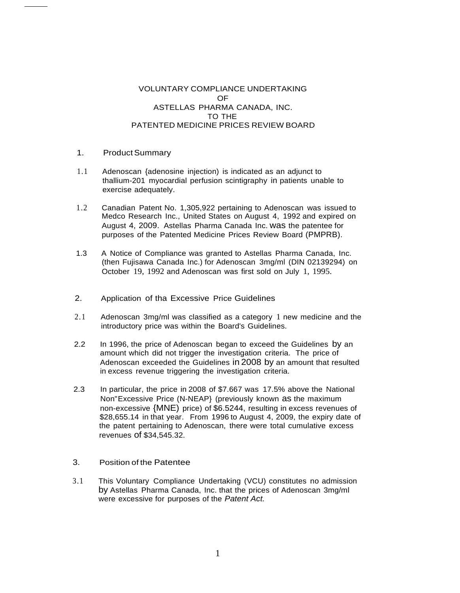## VOLUNTARY COMPLIANCE UNDERTAKING OF ASTELLAS PHARMA CANADA, INC. TO THE PATENTED MEDICINE PRICES REVIEW BOARD

## 1. Product Summary

- 1.1 Adenoscan {adenosine injection) is indicated as an adjunct to thallium-201 myocardial perfusion scintigraphy in patients unable to exercise adequately.
- 1.2 Canadian Patent No. 1,305,922 pertaining to Adenoscan was issued to Medco Research Inc., United States on August 4, 1992 and expired on August 4, 2009. Astellas Pharma Canada Inc. was the patentee for purposes of the Patented Medicine Prices Review Board (PMPRB).
- 1.3 A Notice of Compliance was granted to Astellas Pharma Canada, Inc. (then Fujisawa Canada Inc.) for Adenoscan 3mg/ml (DIN 02139294) on October 19, 1992 and Adenoscan was first sold on July 1, 1995.
- 2. Application of tha Excessive Price Guidelines
- 2.1 Adenoscan 3mg/ml was classified as a category 1 new medicine and the introductory price was within the Board's Guidelines.
- 2.2 In 1996, the price of Adenoscan began to exceed the Guidelines by an amount which did not trigger the investigation criteria. The price of Adenoscan exceeded the Guidelines in 2008 by an amount that resulted in excess revenue triggering the investigation criteria.
- 2.3 In particular, the price in 2008 of \$7.667 was 17.5% above the National Non"Excessive Price (N-NEAP} (previously known as the maximum non-excessive {MNE) price) of \$6.5244, resulting in excess revenues of \$28,655.14 in that year. From 1996 to August 4, 2009, the expiry date of the patent pertaining to Adenoscan, there were total cumulative excess revenues of \$34,545.32.
- 3. Position of the Patentee
- 3.1 This Voluntary Compliance Undertaking (VCU) constitutes no admission by Astellas Pharma Canada, Inc. that the prices of Adenoscan 3mg/ml were excessive for purposes of the *Patent Act.*